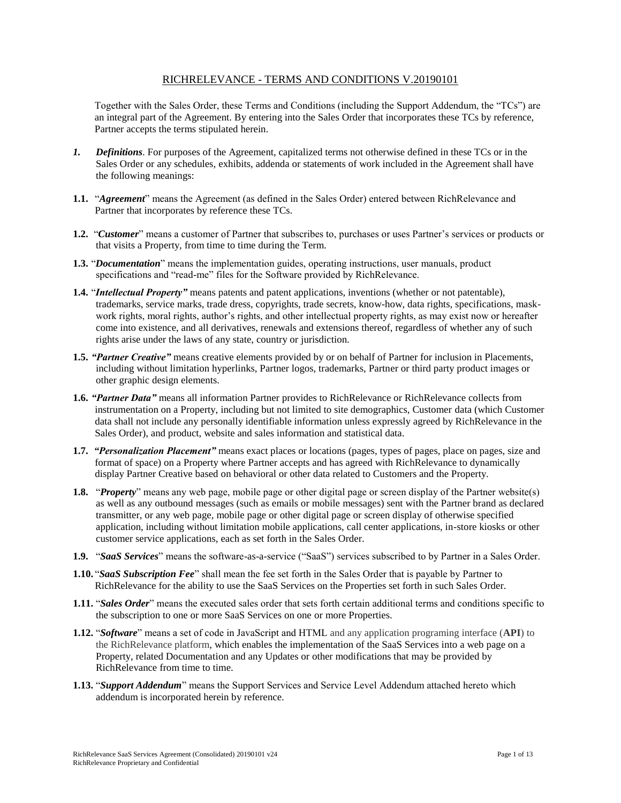## RICHRELEVANCE - TERMS AND CONDITIONS V.20190101

Together with the Sales Order, these Terms and Conditions (including the Support Addendum, the "TCs") are an integral part of the Agreement. By entering into the Sales Order that incorporates these TCs by reference, Partner accepts the terms stipulated herein.

- *1. Definitions*. For purposes of the Agreement, capitalized terms not otherwise defined in these TCs or in the Sales Order or any schedules, exhibits, addenda or statements of work included in the Agreement shall have the following meanings:
- **1.1.** "*Agreement*" means the Agreement (as defined in the Sales Order) entered between RichRelevance and Partner that incorporates by reference these TCs.
- **1.2.** "*Customer*" means a customer of Partner that subscribes to, purchases or uses Partner's services or products or that visits a Property, from time to time during the Term.
- **1.3.** "*Documentation*" means the implementation guides, operating instructions, user manuals, product specifications and "read-me" files for the Software provided by RichRelevance.
- **1.4.** "*Intellectual Property"* means patents and patent applications, inventions (whether or not patentable), trademarks, service marks, trade dress, copyrights, trade secrets, know-how, data rights, specifications, maskwork rights, moral rights, author's rights, and other intellectual property rights, as may exist now or hereafter come into existence, and all derivatives, renewals and extensions thereof, regardless of whether any of such rights arise under the laws of any state, country or jurisdiction.
- **1.5.** *"Partner Creative"* means creative elements provided by or on behalf of Partner for inclusion in Placements, including without limitation hyperlinks, Partner logos, trademarks, Partner or third party product images or other graphic design elements.
- **1.6.** *"Partner Data"* means all information Partner provides to RichRelevance or RichRelevance collects from instrumentation on a Property, including but not limited to site demographics, Customer data (which Customer data shall not include any personally identifiable information unless expressly agreed by RichRelevance in the Sales Order), and product, website and sales information and statistical data.
- **1.7.** *"Personalization Placement"* means exact places or locations (pages, types of pages, place on pages, size and format of space) on a Property where Partner accepts and has agreed with RichRelevance to dynamically display Partner Creative based on behavioral or other data related to Customers and the Property.
- **1.8.** "*Property*" means any web page, mobile page or other digital page or screen display of the Partner website(s) as well as any outbound messages (such as emails or mobile messages) sent with the Partner brand as declared transmitter, or any web page, mobile page or other digital page or screen display of otherwise specified application, including without limitation mobile applications, call center applications, in-store kiosks or other customer service applications, each as set forth in the Sales Order.
- **1.9.** "*SaaS Services*" means the software-as-a-service ("SaaS") services subscribed to by Partner in a Sales Order.
- **1.10.** "*SaaS Subscription Fee*" shall mean the fee set forth in the Sales Order that is payable by Partner to RichRelevance for the ability to use the SaaS Services on the Properties set forth in such Sales Order.
- **1.11.** "*Sales Order*" means the executed sales order that sets forth certain additional terms and conditions specific to the subscription to one or more SaaS Services on one or more Properties.
- **1.12.** "*Software*" means a set of code in JavaScript and HTML and any application programing interface (**API**) to the RichRelevance platform, which enables the implementation of the SaaS Services into a web page on a Property, related Documentation and any Updates or other modifications that may be provided by RichRelevance from time to time.
- **1.13.** "*Support Addendum*" means the Support Services and Service Level Addendum attached hereto which addendum is incorporated herein by reference.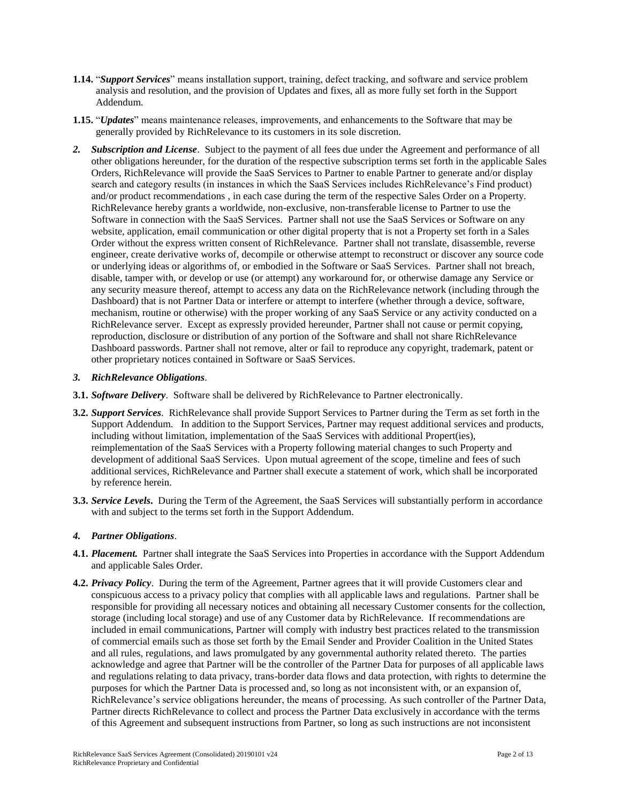- **1.14.** "*Support Services*" means installation support, training, defect tracking, and software and service problem analysis and resolution, and the provision of Updates and fixes, all as more fully set forth in the Support Addendum.
- **1.15.** "*Updates*" means maintenance releases, improvements, and enhancements to the Software that may be generally provided by RichRelevance to its customers in its sole discretion.
- *2. Subscription and License*. Subject to the payment of all fees due under the Agreement and performance of all other obligations hereunder, for the duration of the respective subscription terms set forth in the applicable Sales Orders, RichRelevance will provide the SaaS Services to Partner to enable Partner to generate and/or display search and category results (in instances in which the SaaS Services includes RichRelevance's Find product) and/or product recommendations , in each case during the term of the respective Sales Order on a Property. RichRelevance hereby grants a worldwide, non-exclusive, non-transferable license to Partner to use the Software in connection with the SaaS Services. Partner shall not use the SaaS Services or Software on any website, application, email communication or other digital property that is not a Property set forth in a Sales Order without the express written consent of RichRelevance. Partner shall not translate, disassemble, reverse engineer, create derivative works of, decompile or otherwise attempt to reconstruct or discover any source code or underlying ideas or algorithms of, or embodied in the Software or SaaS Services. Partner shall not breach, disable, tamper with, or develop or use (or attempt) any workaround for, or otherwise damage any Service or any security measure thereof, attempt to access any data on the RichRelevance network (including through the Dashboard) that is not Partner Data or interfere or attempt to interfere (whether through a device, software, mechanism, routine or otherwise) with the proper working of any SaaS Service or any activity conducted on a RichRelevance server. Except as expressly provided hereunder, Partner shall not cause or permit copying, reproduction, disclosure or distribution of any portion of the Software and shall not share RichRelevance Dashboard passwords. Partner shall not remove, alter or fail to reproduce any copyright, trademark, patent or other proprietary notices contained in Software or SaaS Services.

### *3. RichRelevance Obligations*.

- **3.1.** *Software Delivery*. Software shall be delivered by RichRelevance to Partner electronically.
- **3.2.** *Support Services*. RichRelevance shall provide Support Services to Partner during the Term as set forth in the Support Addendum. In addition to the Support Services, Partner may request additional services and products, including without limitation, implementation of the SaaS Services with additional Propert(ies), reimplementation of the SaaS Services with a Property following material changes to such Property and development of additional SaaS Services. Upon mutual agreement of the scope, timeline and fees of such additional services, RichRelevance and Partner shall execute a statement of work, which shall be incorporated by reference herein.
- **3.3.** *Service Levels***.** During the Term of the Agreement, the SaaS Services will substantially perform in accordance with and subject to the terms set forth in the Support Addendum.

### *4. Partner Obligations*.

- **4.1.** *Placement.* Partner shall integrate the SaaS Services into Properties in accordance with the Support Addendum and applicable Sales Order.
- **4.2.** *Privacy Policy*. During the term of the Agreement, Partner agrees that it will provide Customers clear and conspicuous access to a privacy policy that complies with all applicable laws and regulations. Partner shall be responsible for providing all necessary notices and obtaining all necessary Customer consents for the collection, storage (including local storage) and use of any Customer data by RichRelevance. If recommendations are included in email communications, Partner will comply with industry best practices related to the transmission of commercial emails such as those set forth by the Email Sender and Provider Coalition in the United States and all rules, regulations, and laws promulgated by any governmental authority related thereto. The parties acknowledge and agree that Partner will be the controller of the Partner Data for purposes of all applicable laws and regulations relating to data privacy, trans-border data flows and data protection, with rights to determine the purposes for which the Partner Data is processed and, so long as not inconsistent with, or an expansion of, RichRelevance's service obligations hereunder, the means of processing. As such controller of the Partner Data, Partner directs RichRelevance to collect and process the Partner Data exclusively in accordance with the terms of this Agreement and subsequent instructions from Partner, so long as such instructions are not inconsistent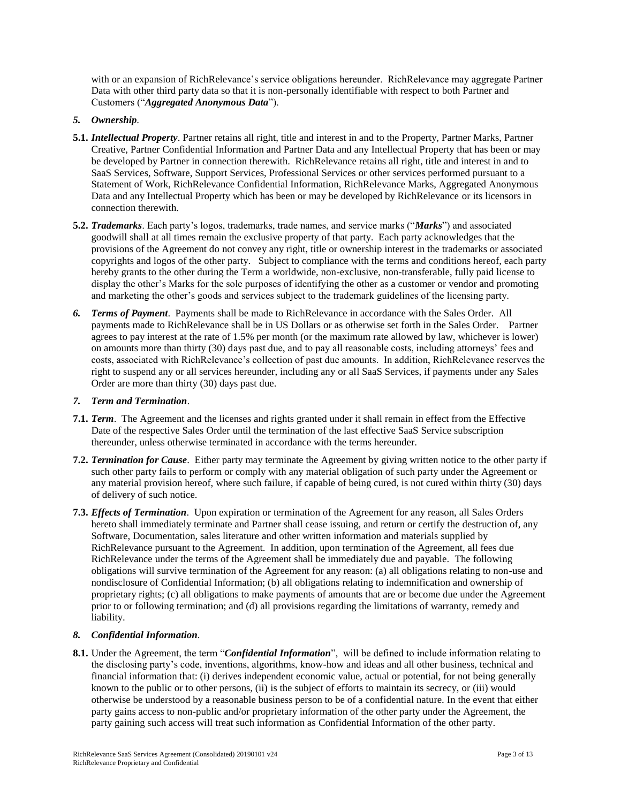with or an expansion of RichRelevance's service obligations hereunder. RichRelevance may aggregate Partner Data with other third party data so that it is non-personally identifiable with respect to both Partner and Customers ("*Aggregated Anonymous Data*").

## *5. Ownership*.

- **5.1.** *Intellectual Property*. Partner retains all right, title and interest in and to the Property, Partner Marks, Partner Creative, Partner Confidential Information and Partner Data and any Intellectual Property that has been or may be developed by Partner in connection therewith. RichRelevance retains all right, title and interest in and to SaaS Services, Software, Support Services, Professional Services or other services performed pursuant to a Statement of Work, RichRelevance Confidential Information, RichRelevance Marks, Aggregated Anonymous Data and any Intellectual Property which has been or may be developed by RichRelevance or its licensors in connection therewith.
- **5.2.** *Trademarks*. Each party's logos, trademarks, trade names, and service marks ("*Marks*") and associated goodwill shall at all times remain the exclusive property of that party. Each party acknowledges that the provisions of the Agreement do not convey any right, title or ownership interest in the trademarks or associated copyrights and logos of the other party. Subject to compliance with the terms and conditions hereof, each party hereby grants to the other during the Term a worldwide, non-exclusive, non-transferable, fully paid license to display the other's Marks for the sole purposes of identifying the other as a customer or vendor and promoting and marketing the other's goods and services subject to the trademark guidelines of the licensing party.
- *6. Terms of Payment*. Payments shall be made to RichRelevance in accordance with the Sales Order. All payments made to RichRelevance shall be in US Dollars or as otherwise set forth in the Sales Order. Partner agrees to pay interest at the rate of 1.5% per month (or the maximum rate allowed by law, whichever is lower) on amounts more than thirty (30) days past due, and to pay all reasonable costs, including attorneys' fees and costs, associated with RichRelevance's collection of past due amounts. In addition, RichRelevance reserves the right to suspend any or all services hereunder, including any or all SaaS Services, if payments under any Sales Order are more than thirty (30) days past due.

### *7. Term and Termination*.

- **7.1.** *Term*. The Agreement and the licenses and rights granted under it shall remain in effect from the Effective Date of the respective Sales Order until the termination of the last effective SaaS Service subscription thereunder, unless otherwise terminated in accordance with the terms hereunder.
- **7.2.** *Termination for Cause*.Either party may terminate the Agreement by giving written notice to the other party if such other party fails to perform or comply with any material obligation of such party under the Agreement or any material provision hereof, where such failure, if capable of being cured, is not cured within thirty (30) days of delivery of such notice.
- **7.3.** *Effects of Termination*. Upon expiration or termination of the Agreement for any reason, all Sales Orders hereto shall immediately terminate and Partner shall cease issuing, and return or certify the destruction of, any Software, Documentation, sales literature and other written information and materials supplied by RichRelevance pursuant to the Agreement. In addition, upon termination of the Agreement, all fees due RichRelevance under the terms of the Agreement shall be immediately due and payable. The following obligations will survive termination of the Agreement for any reason: (a) all obligations relating to non-use and nondisclosure of Confidential Information; (b) all obligations relating to indemnification and ownership of proprietary rights; (c) all obligations to make payments of amounts that are or become due under the Agreement prior to or following termination; and (d) all provisions regarding the limitations of warranty, remedy and liability.

### *8. Confidential Information*.

**8.1.** Under the Agreement, the term "*Confidential Information*", will be defined to include information relating to the disclosing party's code, inventions, algorithms, know-how and ideas and all other business, technical and financial information that: (i) derives independent economic value, actual or potential, for not being generally known to the public or to other persons, (ii) is the subject of efforts to maintain its secrecy, or (iii) would otherwise be understood by a reasonable business person to be of a confidential nature. In the event that either party gains access to non-public and/or proprietary information of the other party under the Agreement, the party gaining such access will treat such information as Confidential Information of the other party.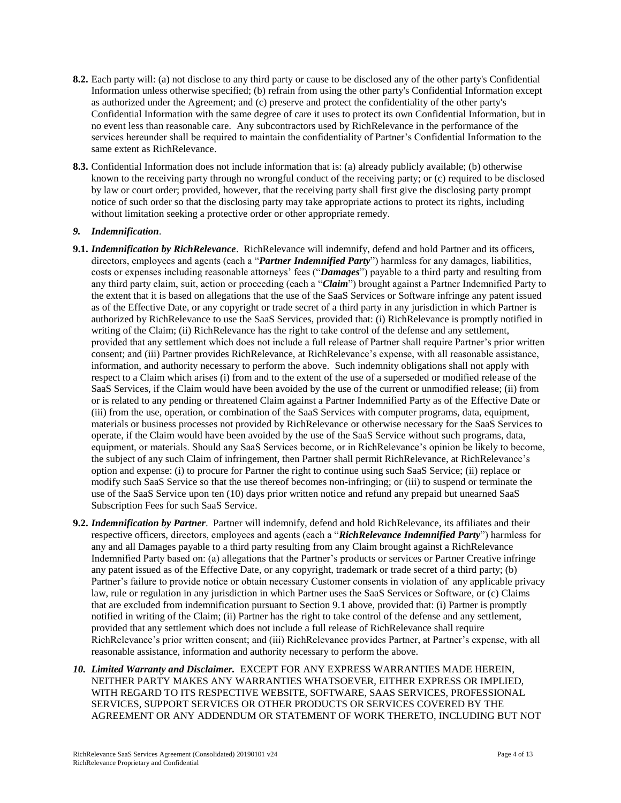- **8.2.** Each party will: (a) not disclose to any third party or cause to be disclosed any of the other party's Confidential Information unless otherwise specified; (b) refrain from using the other party's Confidential Information except as authorized under the Agreement; and (c) preserve and protect the confidentiality of the other party's Confidential Information with the same degree of care it uses to protect its own Confidential Information, but in no event less than reasonable care. Any subcontractors used by RichRelevance in the performance of the services hereunder shall be required to maintain the confidentiality of Partner's Confidential Information to the same extent as RichRelevance.
- **8.3.** Confidential Information does not include information that is: (a) already publicly available; (b) otherwise known to the receiving party through no wrongful conduct of the receiving party; or (c) required to be disclosed by law or court order; provided, however, that the receiving party shall first give the disclosing party prompt notice of such order so that the disclosing party may take appropriate actions to protect its rights, including without limitation seeking a protective order or other appropriate remedy.

### *9. Indemnification*.

- **9.1.** *Indemnification by RichRelevance*. RichRelevance will indemnify, defend and hold Partner and its officers, directors, employees and agents (each a "*Partner Indemnified Party*") harmless for any damages, liabilities, costs or expenses including reasonable attorneys' fees ("*Damages*") payable to a third party and resulting from any third party claim, suit, action or proceeding (each a "*Claim*") brought against a Partner Indemnified Party to the extent that it is based on allegations that the use of the SaaS Services or Software infringe any patent issued as of the Effective Date, or any copyright or trade secret of a third party in any jurisdiction in which Partner is authorized by RichRelevance to use the SaaS Services, provided that: (i) RichRelevance is promptly notified in writing of the Claim; (ii) RichRelevance has the right to take control of the defense and any settlement, provided that any settlement which does not include a full release of Partner shall require Partner's prior written consent; and (iii) Partner provides RichRelevance, at RichRelevance's expense, with all reasonable assistance, information, and authority necessary to perform the above. Such indemnity obligations shall not apply with respect to a Claim which arises (i) from and to the extent of the use of a superseded or modified release of the SaaS Services, if the Claim would have been avoided by the use of the current or unmodified release; (ii) from or is related to any pending or threatened Claim against a Partner Indemnified Party as of the Effective Date or (iii) from the use, operation, or combination of the SaaS Services with computer programs, data, equipment, materials or business processes not provided by RichRelevance or otherwise necessary for the SaaS Services to operate, if the Claim would have been avoided by the use of the SaaS Service without such programs, data, equipment, or materials. Should any SaaS Services become, or in RichRelevance's opinion be likely to become, the subject of any such Claim of infringement, then Partner shall permit RichRelevance, at RichRelevance's option and expense: (i) to procure for Partner the right to continue using such SaaS Service; (ii) replace or modify such SaaS Service so that the use thereof becomes non-infringing; or (iii) to suspend or terminate the use of the SaaS Service upon ten (10) days prior written notice and refund any prepaid but unearned SaaS Subscription Fees for such SaaS Service.
- **9.2.** *Indemnification by Partner*. Partner will indemnify, defend and hold RichRelevance, its affiliates and their respective officers, directors, employees and agents (each a "*RichRelevance Indemnified Party*") harmless for any and all Damages payable to a third party resulting from any Claim brought against a RichRelevance Indemnified Party based on: (a) allegations that the Partner's products or services or Partner Creative infringe any patent issued as of the Effective Date, or any copyright, trademark or trade secret of a third party; (b) Partner's failure to provide notice or obtain necessary Customer consents in violation of any applicable privacy law, rule or regulation in any jurisdiction in which Partner uses the SaaS Services or Software, or (c) Claims that are excluded from indemnification pursuant to Section 9.1 above, provided that: (i) Partner is promptly notified in writing of the Claim; (ii) Partner has the right to take control of the defense and any settlement, provided that any settlement which does not include a full release of RichRelevance shall require RichRelevance's prior written consent; and (iii) RichRelevance provides Partner, at Partner's expense, with all reasonable assistance, information and authority necessary to perform the above.
- *10. Limited Warranty and Disclaimer.* EXCEPT FOR ANY EXPRESS WARRANTIES MADE HEREIN, NEITHER PARTY MAKES ANY WARRANTIES WHATSOEVER, EITHER EXPRESS OR IMPLIED, WITH REGARD TO ITS RESPECTIVE WEBSITE, SOFTWARE, SAAS SERVICES, PROFESSIONAL SERVICES, SUPPORT SERVICES OR OTHER PRODUCTS OR SERVICES COVERED BY THE AGREEMENT OR ANY ADDENDUM OR STATEMENT OF WORK THERETO, INCLUDING BUT NOT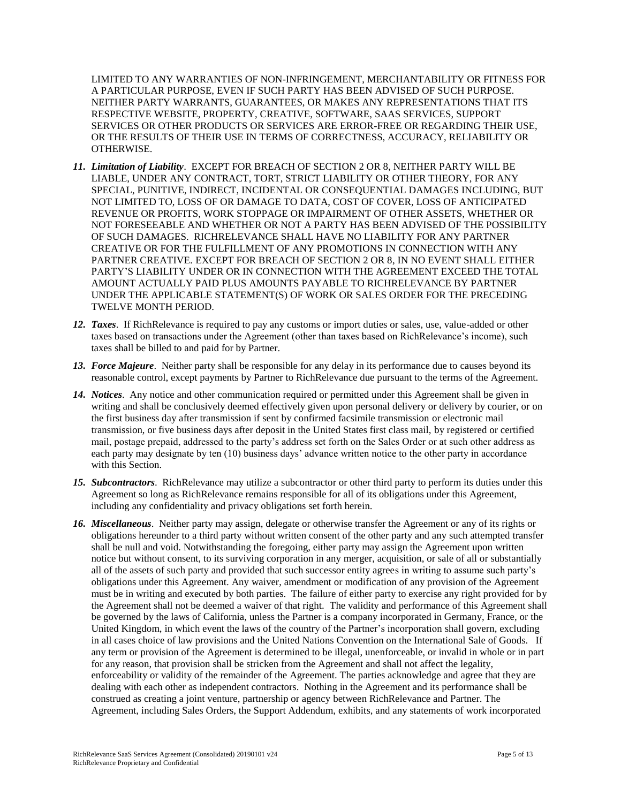LIMITED TO ANY WARRANTIES OF NON-INFRINGEMENT, MERCHANTABILITY OR FITNESS FOR A PARTICULAR PURPOSE, EVEN IF SUCH PARTY HAS BEEN ADVISED OF SUCH PURPOSE. NEITHER PARTY WARRANTS, GUARANTEES, OR MAKES ANY REPRESENTATIONS THAT ITS RESPECTIVE WEBSITE, PROPERTY, CREATIVE, SOFTWARE, SAAS SERVICES, SUPPORT SERVICES OR OTHER PRODUCTS OR SERVICES ARE ERROR-FREE OR REGARDING THEIR USE, OR THE RESULTS OF THEIR USE IN TERMS OF CORRECTNESS, ACCURACY, RELIABILITY OR OTHERWISE.

- *11. Limitation of Liability*. EXCEPT FOR BREACH OF SECTION 2 OR 8, NEITHER PARTY WILL BE LIABLE, UNDER ANY CONTRACT, TORT, STRICT LIABILITY OR OTHER THEORY, FOR ANY SPECIAL, PUNITIVE, INDIRECT, INCIDENTAL OR CONSEQUENTIAL DAMAGES INCLUDING, BUT NOT LIMITED TO, LOSS OF OR DAMAGE TO DATA, COST OF COVER, LOSS OF ANTICIPATED REVENUE OR PROFITS, WORK STOPPAGE OR IMPAIRMENT OF OTHER ASSETS, WHETHER OR NOT FORESEEABLE AND WHETHER OR NOT A PARTY HAS BEEN ADVISED OF THE POSSIBILITY OF SUCH DAMAGES. RICHRELEVANCE SHALL HAVE NO LIABILITY FOR ANY PARTNER CREATIVE OR FOR THE FULFILLMENT OF ANY PROMOTIONS IN CONNECTION WITH ANY PARTNER CREATIVE. EXCEPT FOR BREACH OF SECTION 2 OR 8, IN NO EVENT SHALL EITHER PARTY'S LIABILITY UNDER OR IN CONNECTION WITH THE AGREEMENT EXCEED THE TOTAL AMOUNT ACTUALLY PAID PLUS AMOUNTS PAYABLE TO RICHRELEVANCE BY PARTNER UNDER THE APPLICABLE STATEMENT(S) OF WORK OR SALES ORDER FOR THE PRECEDING TWELVE MONTH PERIOD.
- *12. Taxes*. If RichRelevance is required to pay any customs or import duties or sales, use, value-added or other taxes based on transactions under the Agreement (other than taxes based on RichRelevance's income), such taxes shall be billed to and paid for by Partner.
- *13. Force Majeure*. Neither party shall be responsible for any delay in its performance due to causes beyond its reasonable control, except payments by Partner to RichRelevance due pursuant to the terms of the Agreement.
- *14. Notices*. Any notice and other communication required or permitted under this Agreement shall be given in writing and shall be conclusively deemed effectively given upon personal delivery or delivery by courier, or on the first business day after transmission if sent by confirmed facsimile transmission or electronic mail transmission, or five business days after deposit in the United States first class mail, by registered or certified mail, postage prepaid, addressed to the party's address set forth on the Sales Order or at such other address as each party may designate by ten (10) business days' advance written notice to the other party in accordance with this Section.
- *15. Subcontractors*. RichRelevance may utilize a subcontractor or other third party to perform its duties under this Agreement so long as RichRelevance remains responsible for all of its obligations under this Agreement, including any confidentiality and privacy obligations set forth herein.
- *16. Miscellaneous*. Neither party may assign, delegate or otherwise transfer the Agreement or any of its rights or obligations hereunder to a third party without written consent of the other party and any such attempted transfer shall be null and void. Notwithstanding the foregoing, either party may assign the Agreement upon written notice but without consent, to its surviving corporation in any merger, acquisition, or sale of all or substantially all of the assets of such party and provided that such successor entity agrees in writing to assume such party's obligations under this Agreement. Any waiver, amendment or modification of any provision of the Agreement must be in writing and executed by both parties. The failure of either party to exercise any right provided for by the Agreement shall not be deemed a waiver of that right. The validity and performance of this Agreement shall be governed by the laws of California, unless the Partner is a company incorporated in Germany, France, or the United Kingdom, in which event the laws of the country of the Partner's incorporation shall govern, excluding in all cases choice of law provisions and the United Nations Convention on the International Sale of Goods. If any term or provision of the Agreement is determined to be illegal, unenforceable, or invalid in whole or in part for any reason, that provision shall be stricken from the Agreement and shall not affect the legality, enforceability or validity of the remainder of the Agreement. The parties acknowledge and agree that they are dealing with each other as independent contractors. Nothing in the Agreement and its performance shall be construed as creating a joint venture, partnership or agency between RichRelevance and Partner. The Agreement, including Sales Orders, the Support Addendum, exhibits, and any statements of work incorporated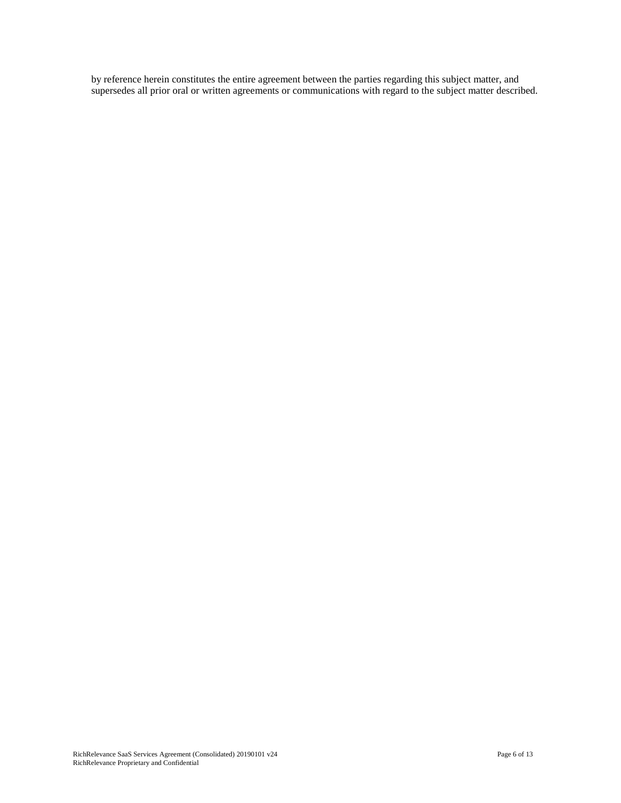by reference herein constitutes the entire agreement between the parties regarding this subject matter, and supersedes all prior oral or written agreements or communications with regard to the subject matter described.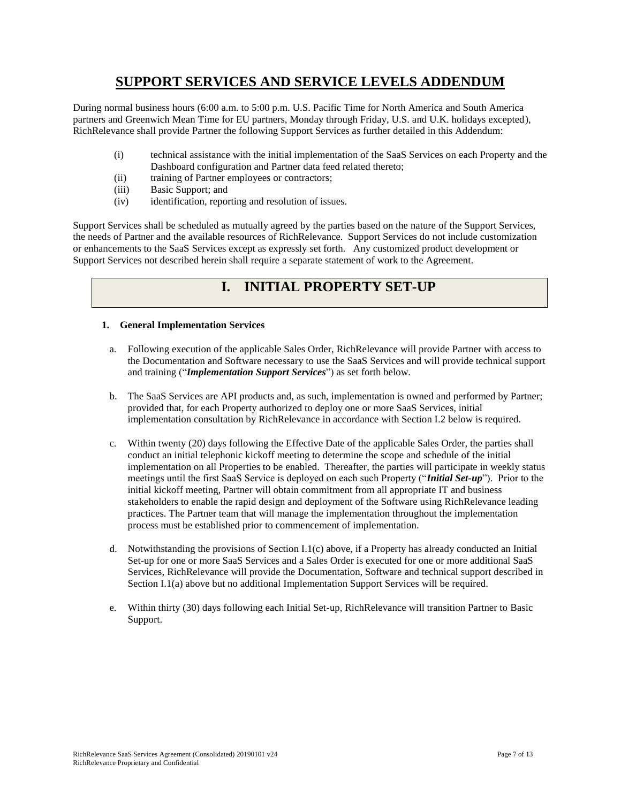# **SUPPORT SERVICES AND SERVICE LEVELS ADDENDUM**

During normal business hours (6:00 a.m. to 5:00 p.m. U.S. Pacific Time for North America and South America partners and Greenwich Mean Time for EU partners, Monday through Friday, U.S. and U.K. holidays excepted), RichRelevance shall provide Partner the following Support Services as further detailed in this Addendum:

- (i) technical assistance with the initial implementation of the SaaS Services on each Property and the Dashboard configuration and Partner data feed related thereto;
- (ii) training of Partner employees or contractors;
- (iii) Basic Support; and
- (iv) identification, reporting and resolution of issues.

Support Services shall be scheduled as mutually agreed by the parties based on the nature of the Support Services, the needs of Partner and the available resources of RichRelevance. Support Services do not include customization or enhancements to the SaaS Services except as expressly set forth. Any customized product development or Support Services not described herein shall require a separate statement of work to the Agreement.

# **I. INITIAL PROPERTY SET-UP**

## **1. General Implementation Services**

- a. Following execution of the applicable Sales Order, RichRelevance will provide Partner with access to the Documentation and Software necessary to use the SaaS Services and will provide technical support and training ("*Implementation Support Services*") as set forth below.
- b. The SaaS Services are API products and, as such, implementation is owned and performed by Partner; provided that, for each Property authorized to deploy one or more SaaS Services, initial implementation consultation by RichRelevance in accordance with Section I.2 below is required.
- c. Within twenty (20) days following the Effective Date of the applicable Sales Order, the parties shall conduct an initial telephonic kickoff meeting to determine the scope and schedule of the initial implementation on all Properties to be enabled. Thereafter, the parties will participate in weekly status meetings until the first SaaS Service is deployed on each such Property ("*Initial Set-up*"). Prior to the initial kickoff meeting, Partner will obtain commitment from all appropriate IT and business stakeholders to enable the rapid design and deployment of the Software using RichRelevance leading practices. The Partner team that will manage the implementation throughout the implementation process must be established prior to commencement of implementation.
- d. Notwithstanding the provisions of Section I.1(c) above, if a Property has already conducted an Initial Set-up for one or more SaaS Services and a Sales Order is executed for one or more additional SaaS Services, RichRelevance will provide the Documentation, Software and technical support described in Section I.1(a) above but no additional Implementation Support Services will be required.
- e. Within thirty (30) days following each Initial Set-up, RichRelevance will transition Partner to Basic Support.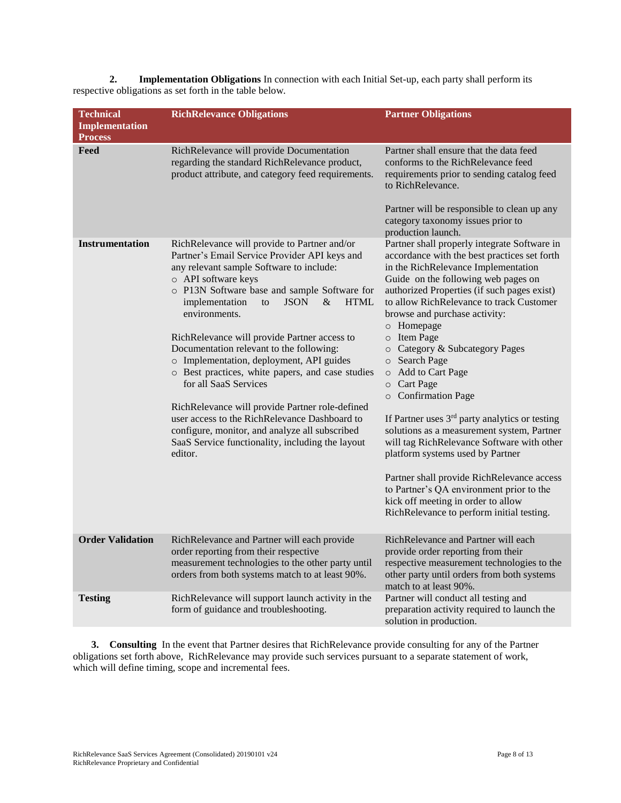**2. Implementation Obligations** In connection with each Initial Set-up, each party shall perform its respective obligations as set forth in the table below.

| <b>Technical</b><br><b>Implementation</b><br><b>Process</b> | <b>RichRelevance Obligations</b>                                                                                                                                                                                                                                                                                                                                                                                                                                                                                                                                                                                                                                                                                                       | <b>Partner Obligations</b>                                                                                                                                                                                                                                                                                                                                                                                                                                                                                                                                                                                                                                                                                                                                                                                                                      |
|-------------------------------------------------------------|----------------------------------------------------------------------------------------------------------------------------------------------------------------------------------------------------------------------------------------------------------------------------------------------------------------------------------------------------------------------------------------------------------------------------------------------------------------------------------------------------------------------------------------------------------------------------------------------------------------------------------------------------------------------------------------------------------------------------------------|-------------------------------------------------------------------------------------------------------------------------------------------------------------------------------------------------------------------------------------------------------------------------------------------------------------------------------------------------------------------------------------------------------------------------------------------------------------------------------------------------------------------------------------------------------------------------------------------------------------------------------------------------------------------------------------------------------------------------------------------------------------------------------------------------------------------------------------------------|
| Feed                                                        | RichRelevance will provide Documentation<br>regarding the standard RichRelevance product,<br>product attribute, and category feed requirements.                                                                                                                                                                                                                                                                                                                                                                                                                                                                                                                                                                                        | Partner shall ensure that the data feed<br>conforms to the RichRelevance feed<br>requirements prior to sending catalog feed<br>to RichRelevance.<br>Partner will be responsible to clean up any<br>category taxonomy issues prior to<br>production launch.                                                                                                                                                                                                                                                                                                                                                                                                                                                                                                                                                                                      |
| <b>Instrumentation</b>                                      | RichRelevance will provide to Partner and/or<br>Partner's Email Service Provider API keys and<br>any relevant sample Software to include:<br>o API software keys<br>o P13N Software base and sample Software for<br>implementation<br><b>JSON</b><br>&<br><b>HTML</b><br>to<br>environments.<br>RichRelevance will provide Partner access to<br>Documentation relevant to the following:<br>o Implementation, deployment, API guides<br>o Best practices, white papers, and case studies<br>for all SaaS Services<br>RichRelevance will provide Partner role-defined<br>user access to the RichRelevance Dashboard to<br>configure, monitor, and analyze all subscribed<br>SaaS Service functionality, including the layout<br>editor. | Partner shall properly integrate Software in<br>accordance with the best practices set forth<br>in the RichRelevance Implementation<br>Guide on the following web pages on<br>authorized Properties (if such pages exist)<br>to allow RichRelevance to track Customer<br>browse and purchase activity:<br>o Homepage<br>o Item Page<br>Category & Subcategory Pages<br>$\circ$<br>o Search Page<br>Add to Cart Page<br>$\circ$<br>o Cart Page<br>o Confirmation Page<br>If Partner uses 3 <sup>rd</sup> party analytics or testing<br>solutions as a measurement system, Partner<br>will tag RichRelevance Software with other<br>platform systems used by Partner<br>Partner shall provide RichRelevance access<br>to Partner's QA environment prior to the<br>kick off meeting in order to allow<br>RichRelevance to perform initial testing. |
| <b>Order Validation</b>                                     | RichRelevance and Partner will each provide<br>order reporting from their respective<br>measurement technologies to the other party until<br>orders from both systems match to at least 90%.                                                                                                                                                                                                                                                                                                                                                                                                                                                                                                                                           | RichRelevance and Partner will each<br>provide order reporting from their<br>respective measurement technologies to the<br>other party until orders from both systems<br>match to at least 90%.                                                                                                                                                                                                                                                                                                                                                                                                                                                                                                                                                                                                                                                 |
| <b>Testing</b>                                              | RichRelevance will support launch activity in the<br>form of guidance and troubleshooting.                                                                                                                                                                                                                                                                                                                                                                                                                                                                                                                                                                                                                                             | Partner will conduct all testing and<br>preparation activity required to launch the<br>solution in production.                                                                                                                                                                                                                                                                                                                                                                                                                                                                                                                                                                                                                                                                                                                                  |

**3. Consulting** In the event that Partner desires that RichRelevance provide consulting for any of the Partner obligations set forth above, RichRelevance may provide such services pursuant to a separate statement of work, which will define timing, scope and incremental fees.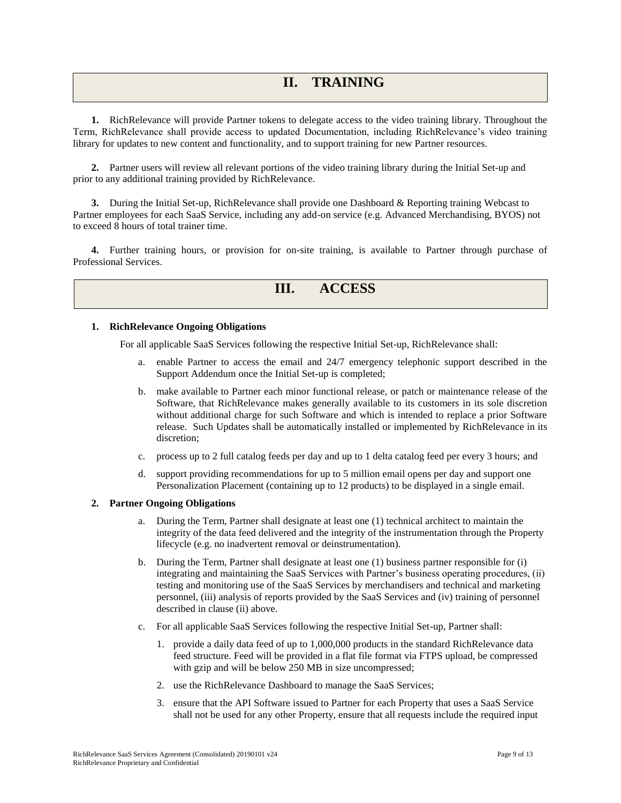# **II. TRAINING**

**1.** RichRelevance will provide Partner tokens to delegate access to the video training library. Throughout the Term, RichRelevance shall provide access to updated Documentation, including RichRelevance's video training library for updates to new content and functionality, and to support training for new Partner resources.

**2.** Partner users will review all relevant portions of the video training library during the Initial Set-up and prior to any additional training provided by RichRelevance.

**3.** During the Initial Set-up, RichRelevance shall provide one Dashboard & Reporting training Webcast to Partner employees for each SaaS Service, including any add-on service (e.g. Advanced Merchandising, BYOS) not to exceed 8 hours of total trainer time.

**4.** Further training hours, or provision for on-site training, is available to Partner through purchase of Professional Services.

# **III. ACCESS**

## **1. RichRelevance Ongoing Obligations**

For all applicable SaaS Services following the respective Initial Set-up, RichRelevance shall:

- a. enable Partner to access the email and 24/7 emergency telephonic support described in the Support Addendum once the Initial Set-up is completed;
- b. make available to Partner each minor functional release, or patch or maintenance release of the Software, that RichRelevance makes generally available to its customers in its sole discretion without additional charge for such Software and which is intended to replace a prior Software release. Such Updates shall be automatically installed or implemented by RichRelevance in its discretion;
- c. process up to 2 full catalog feeds per day and up to 1 delta catalog feed per every 3 hours; and
- d. support providing recommendations for up to 5 million email opens per day and support one Personalization Placement (containing up to 12 products) to be displayed in a single email.

### **2. Partner Ongoing Obligations**

- a. During the Term, Partner shall designate at least one (1) technical architect to maintain the integrity of the data feed delivered and the integrity of the instrumentation through the Property lifecycle (e.g. no inadvertent removal or deinstrumentation).
- b. During the Term, Partner shall designate at least one (1) business partner responsible for (i) integrating and maintaining the SaaS Services with Partner's business operating procedures, (ii) testing and monitoring use of the SaaS Services by merchandisers and technical and marketing personnel, (iii) analysis of reports provided by the SaaS Services and (iv) training of personnel described in clause (ii) above.
- c. For all applicable SaaS Services following the respective Initial Set-up, Partner shall:
	- 1. provide a daily data feed of up to 1,000,000 products in the standard RichRelevance data feed structure. Feed will be provided in a flat file format via FTPS upload, be compressed with gzip and will be below 250 MB in size uncompressed;
	- 2. use the RichRelevance Dashboard to manage the SaaS Services;
	- 3. ensure that the API Software issued to Partner for each Property that uses a SaaS Service shall not be used for any other Property, ensure that all requests include the required input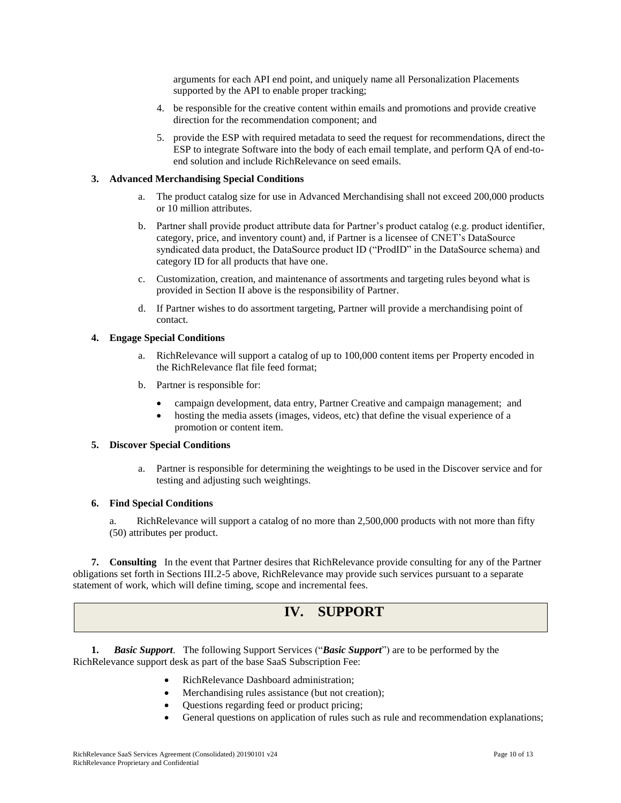arguments for each API end point, and uniquely name all Personalization Placements supported by the API to enable proper tracking;

- 4. be responsible for the creative content within emails and promotions and provide creative direction for the recommendation component; and
- 5. provide the ESP with required metadata to seed the request for recommendations, direct the ESP to integrate Software into the body of each email template, and perform QA of end-toend solution and include RichRelevance on seed emails.

## **3. Advanced Merchandising Special Conditions**

- a. The product catalog size for use in Advanced Merchandising shall not exceed 200,000 products or 10 million attributes.
- b. Partner shall provide product attribute data for Partner's product catalog (e.g. product identifier, category, price, and inventory count) and, if Partner is a licensee of CNET's DataSource syndicated data product, the DataSource product ID ("ProdID" in the DataSource schema) and category ID for all products that have one.
- c. Customization, creation, and maintenance of assortments and targeting rules beyond what is provided in Section II above is the responsibility of Partner.
- d. If Partner wishes to do assortment targeting, Partner will provide a merchandising point of contact.

### **4. Engage Special Conditions**

- a. RichRelevance will support a catalog of up to 100,000 content items per Property encoded in the RichRelevance flat file feed format;
- b. Partner is responsible for:
	- campaign development, data entry, Partner Creative and campaign management; and
	- hosting the media assets (images, videos, etc) that define the visual experience of a promotion or content item.

## **5. Discover Special Conditions**

a. Partner is responsible for determining the weightings to be used in the Discover service and for testing and adjusting such weightings.

### **6. Find Special Conditions**

a. RichRelevance will support a catalog of no more than 2,500,000 products with not more than fifty (50) attributes per product.

**7. Consulting** In the event that Partner desires that RichRelevance provide consulting for any of the Partner obligations set forth in Sections III.2-5 above, RichRelevance may provide such services pursuant to a separate statement of work, which will define timing, scope and incremental fees.

# **IV. SUPPORT**

**1.** *Basic Support*. The following Support Services ("*Basic Support*") are to be performed by the RichRelevance support desk as part of the base SaaS Subscription Fee:

- RichRelevance Dashboard administration;
- Merchandising rules assistance (but not creation);
- Questions regarding feed or product pricing;
- General questions on application of rules such as rule and recommendation explanations;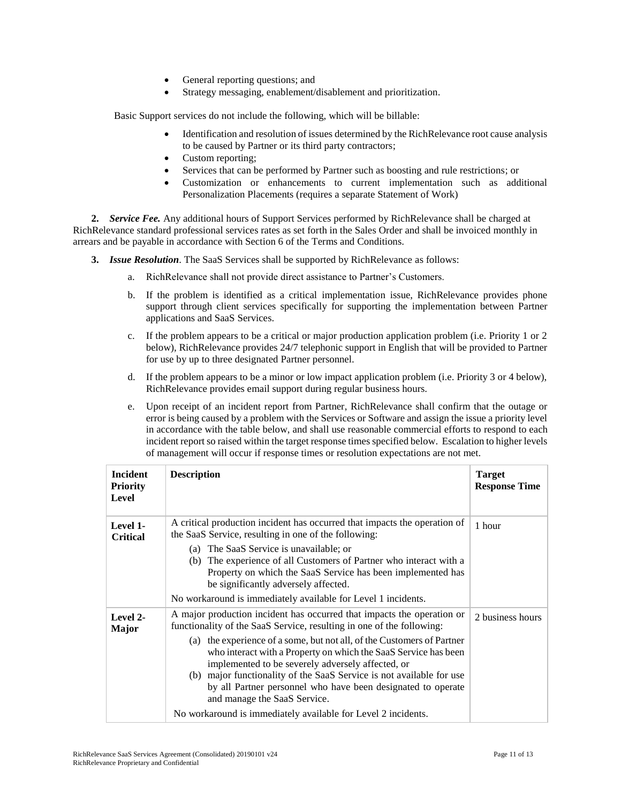- General reporting questions; and
- Strategy messaging, enablement/disablement and prioritization.

Basic Support services do not include the following, which will be billable:

- Identification and resolution of issues determined by the RichRelevance root cause analysis to be caused by Partner or its third party contractors;
- Custom reporting;
- Services that can be performed by Partner such as boosting and rule restrictions; or
- Customization or enhancements to current implementation such as additional Personalization Placements (requires a separate Statement of Work)

**2.** *Service Fee.* Any additional hours of Support Services performed by RichRelevance shall be charged at RichRelevance standard professional services rates as set forth in the Sales Order and shall be invoiced monthly in arrears and be payable in accordance with Section 6 of the Terms and Conditions.

**3.** *Issue Resolution*. The SaaS Services shall be supported by RichRelevance as follows:

- a. RichRelevance shall not provide direct assistance to Partner's Customers.
- b. If the problem is identified as a critical implementation issue, RichRelevance provides phone support through client services specifically for supporting the implementation between Partner applications and SaaS Services.
- c. If the problem appears to be a critical or major production application problem (i.e. Priority 1 or 2 below), RichRelevance provides 24/7 telephonic support in English that will be provided to Partner for use by up to three designated Partner personnel.
- d. If the problem appears to be a minor or low impact application problem (i.e. Priority 3 or 4 below), RichRelevance provides email support during regular business hours.
- e. Upon receipt of an incident report from Partner, RichRelevance shall confirm that the outage or error is being caused by a problem with the Services or Software and assign the issue a priority level in accordance with the table below, and shall use reasonable commercial efforts to respond to each incident report so raised within the target response times specified below. Escalation to higher levels of management will occur if response times or resolution expectations are not met.

| <b>Incident</b><br><b>Priority</b><br>Level | <b>Description</b>                                                                                                                                                                                                                                                                                                                                                                                                                                                                                                                                                                         | <b>Target</b><br><b>Response Time</b> |
|---------------------------------------------|--------------------------------------------------------------------------------------------------------------------------------------------------------------------------------------------------------------------------------------------------------------------------------------------------------------------------------------------------------------------------------------------------------------------------------------------------------------------------------------------------------------------------------------------------------------------------------------------|---------------------------------------|
| Level 1-<br><b>Critical</b>                 | A critical production incident has occurred that impacts the operation of<br>the SaaS Service, resulting in one of the following:<br>(a) The SaaS Service is unavailable; or<br>The experience of all Customers of Partner who interact with a<br>(b)<br>Property on which the SaaS Service has been implemented has<br>be significantly adversely affected.<br>No workaround is immediately available for Level 1 incidents.                                                                                                                                                              | 1 hour                                |
| Level 2-<br>Major                           | A major production incident has occurred that impacts the operation or<br>functionality of the SaaS Service, resulting in one of the following:<br>(a) the experience of a some, but not all, of the Customers of Partner<br>who interact with a Property on which the SaaS Service has been<br>implemented to be severely adversely affected, or<br>(b) major functionality of the SaaS Service is not available for use<br>by all Partner personnel who have been designated to operate<br>and manage the SaaS Service.<br>No workaround is immediately available for Level 2 incidents. | 2 business hours                      |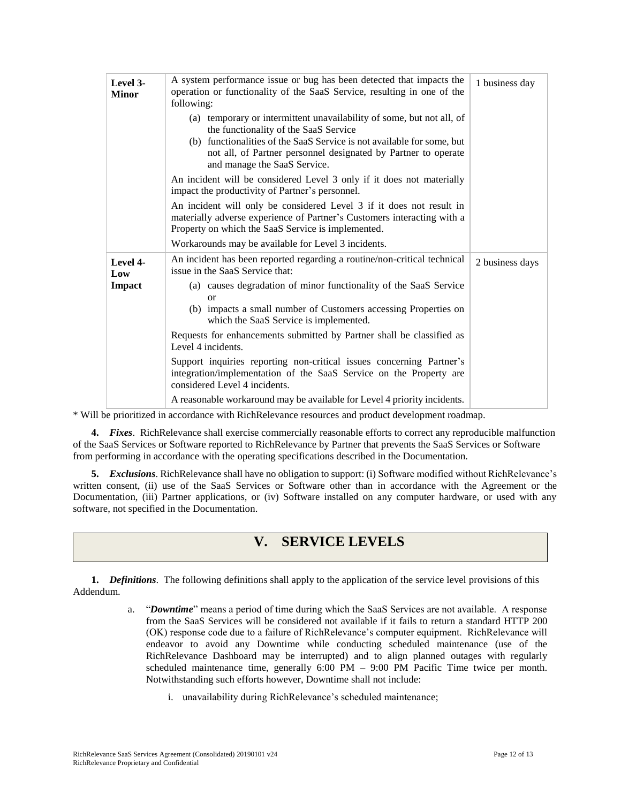| Level 3-<br><b>Minor</b> | A system performance issue or bug has been detected that impacts the<br>operation or functionality of the SaaS Service, resulting in one of the<br>following:                                                                                                                              | 1 business day  |
|--------------------------|--------------------------------------------------------------------------------------------------------------------------------------------------------------------------------------------------------------------------------------------------------------------------------------------|-----------------|
|                          | (a) temporary or intermittent unavailability of some, but not all, of<br>the functionality of the SaaS Service<br>(b) functionalities of the SaaS Service is not available for some, but<br>not all, of Partner personnel designated by Partner to operate<br>and manage the SaaS Service. |                 |
|                          | An incident will be considered Level 3 only if it does not materially<br>impact the productivity of Partner's personnel.                                                                                                                                                                   |                 |
|                          | An incident will only be considered Level 3 if it does not result in<br>materially adverse experience of Partner's Customers interacting with a<br>Property on which the SaaS Service is implemented.                                                                                      |                 |
|                          | Workarounds may be available for Level 3 incidents.                                                                                                                                                                                                                                        |                 |
| Level 4-<br>Low          | An incident has been reported regarding a routine/non-critical technical<br>issue in the SaaS Service that:                                                                                                                                                                                | 2 business days |
| Impact                   | (a) causes degradation of minor functionality of the SaaS Service<br>$\alpha$                                                                                                                                                                                                              |                 |
|                          | (b) impacts a small number of Customers accessing Properties on<br>which the SaaS Service is implemented.                                                                                                                                                                                  |                 |
|                          | Requests for enhancements submitted by Partner shall be classified as<br>Level 4 incidents.                                                                                                                                                                                                |                 |
|                          | Support inquiries reporting non-critical issues concerning Partner's<br>integration/implementation of the SaaS Service on the Property are<br>considered Level 4 incidents.                                                                                                                |                 |
|                          | A reasonable workaround may be available for Level 4 priority incidents.                                                                                                                                                                                                                   |                 |

\* Will be prioritized in accordance with RichRelevance resources and product development roadmap.

**4.** *Fixes*. RichRelevance shall exercise commercially reasonable efforts to correct any reproducible malfunction of the SaaS Services or Software reported to RichRelevance by Partner that prevents the SaaS Services or Software from performing in accordance with the operating specifications described in the Documentation.

**5.** *Exclusions*. RichRelevance shall have no obligation to support: (i) Software modified without RichRelevance's written consent, (ii) use of the SaaS Services or Software other than in accordance with the Agreement or the Documentation, (iii) Partner applications, or (iv) Software installed on any computer hardware, or used with any software, not specified in the Documentation.

# **V. SERVICE LEVELS**

**1.** *Definitions*. The following definitions shall apply to the application of the service level provisions of this Addendum.

- a. "*Downtime*" means a period of time during which the SaaS Services are not available. A response from the SaaS Services will be considered not available if it fails to return a standard HTTP 200 (OK) response code due to a failure of RichRelevance's computer equipment. RichRelevance will endeavor to avoid any Downtime while conducting scheduled maintenance (use of the RichRelevance Dashboard may be interrupted) and to align planned outages with regularly scheduled maintenance time, generally 6:00 PM – 9:00 PM Pacific Time twice per month. Notwithstanding such efforts however, Downtime shall not include:
	- i. unavailability during RichRelevance's scheduled maintenance;